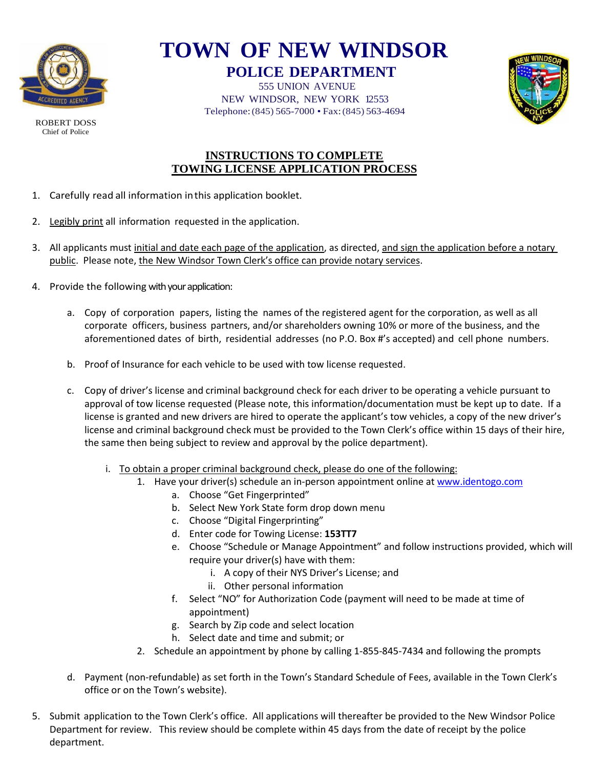

ROBERT DOSS Chief of Police

## **TOWN OF NEW WINDSOR POLICE DEPARTMENT**

555 UNION AVENUE NEW WINDSOR, NEW YORK 12553 Telephone:(845) 565-7000 • Fax:(845) 563-4694



### **INSTRUCTIONS TO COMPLETE TOWING LICENSE APPLICATION PROCESS**

- 1. Carefully read all information inthis application booklet.
- 2. Legibly print all information requested in the application.
- 3. All applicants must initial and date each page of the application, as directed, and sign the application before a notary public. Please note, the New Windsor Town Clerk's office can provide notary services.
- 4. Provide the following with your application:
	- a. Copy of corporation papers, listing the names of the registered agent for the corporation, as well as all corporate officers, business partners, and/or shareholders owning 10% or more of the business, and the aforementioned dates of birth, residential addresses (no P.O. Box #'s accepted) and cell phone numbers.
	- b. Proof of Insurance for each vehicle to be used with tow license requested.
	- c. Copy of driver's license and criminal background check for each driver to be operating a vehicle pursuant to approval of tow license requested (Please note, this information/documentation must be kept up to date. If a license is granted and new drivers are hired to operate the applicant's tow vehicles, a copy of the new driver's license and criminal background check must be provided to the Town Clerk's office within 15 days of their hire, the same then being subject to review and approval by the police department).
		- i. To obtain a proper criminal background check, please do one of the following:
			- 1. Have your driver(s) schedule an in-person appointment online a[t www.identogo.com](http://www.identogo.com/)
				- a. Choose "Get Fingerprinted"
				- b. Select New York State form drop down menu
				- c. Choose "Digital Fingerprinting"
				- d. Enter code for Towing License: **153TT7**
				- e. Choose "Schedule or Manage Appointment" and follow instructions provided, which will require your driver(s) have with them:
					- i. A copy of their NYS Driver's License; and
					- ii. Other personal information
				- f. Select "NO" for Authorization Code (payment will need to be made at time of appointment)
				- g. Search by Zip code and select location
				- h. Select date and time and submit; or
			- 2. Schedule an appointment by phone by calling 1-855-845-7434 and following the prompts
	- d. Payment (non-refundable) as set forth in the Town's Standard Schedule of Fees, available in the Town Clerk's office or on the Town's website).
- 5. Submit application to the Town Clerk's office. All applications will thereafter be provided to the New Windsor Police Department for review. This review should be complete within 45 days from the date of receipt by the police department.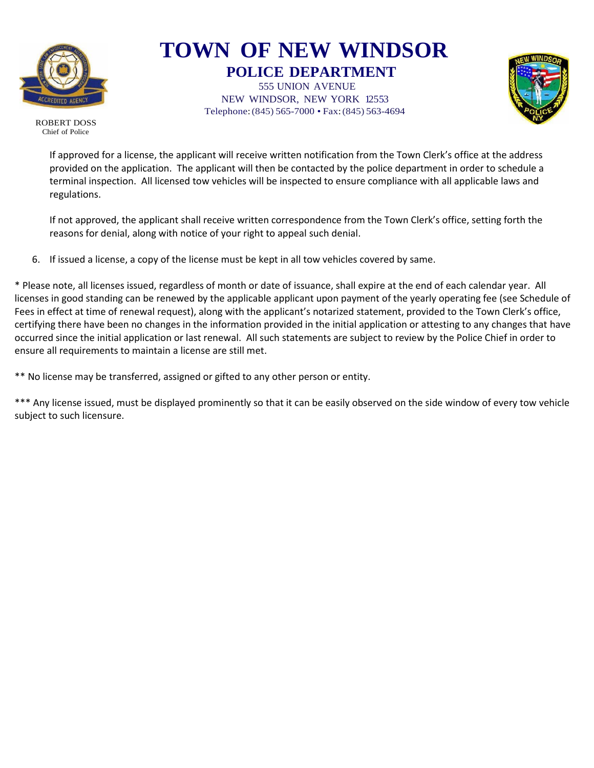

### **TOWN OF NEW WINDSOR POLICE DEPARTMENT**

555 UNION AVENUE NEW WINDSOR, NEW YORK 12553 Telephone:(845) 565-7000 • Fax:(845) 563-4694



ROBERT DOSS Chief of Police

> If approved for a license, the applicant will receive written notification from the Town Clerk's office at the address provided on the application. The applicant will then be contacted by the police department in order to schedule a terminal inspection. All licensed tow vehicles will be inspected to ensure compliance with all applicable laws and regulations.

> If not approved, the applicant shall receive written correspondence from the Town Clerk's office, setting forth the reasons for denial, along with notice of your right to appeal such denial.

6. If issued a license, a copy of the license must be kept in all tow vehicles covered by same.

\* Please note, all licenses issued, regardless of month or date of issuance, shall expire at the end of each calendar year. All licenses in good standing can be renewed by the applicable applicant upon payment of the yearly operating fee (see Schedule of Fees in effect at time of renewal request), along with the applicant's notarized statement, provided to the Town Clerk's office, certifying there have been no changes in the information provided in the initial application or attesting to any changes that have occurred since the initial application or last renewal. All such statements are subject to review by the Police Chief in order to ensure all requirements to maintain a license are still met.

\*\* No license may be transferred, assigned or gifted to any other person or entity.

\*\*\* Any license issued, must be displayed prominently so that it can be easily observed on the side window of every tow vehicle subject to such licensure.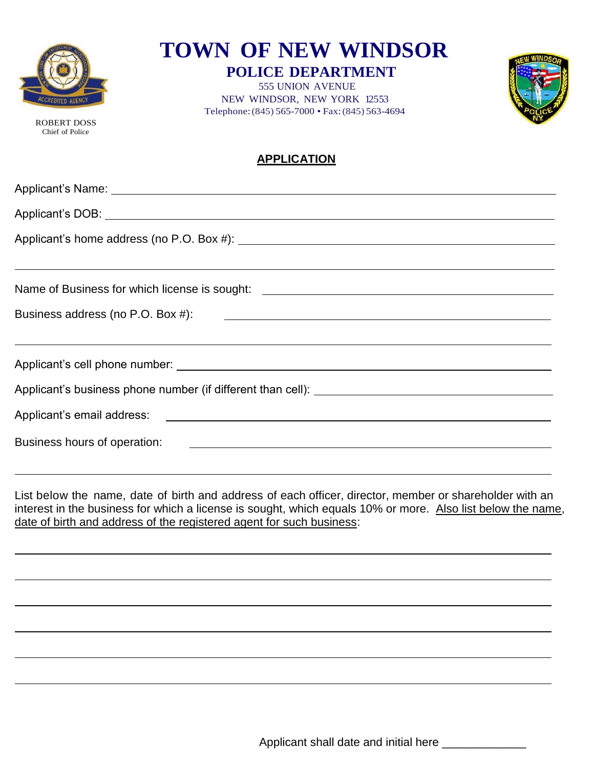

ROBERT DOSS Chief of Police

 $\overline{a}$ 

 $\overline{a}$ 

 $\overline{a}$ 

 $\overline{a}$ 

 $\overline{a}$ 

 $\overline{a}$ 

**TOWN OF NEW WINDSOR**

**POLICE DEPARTMENT** 555 UNION AVENUE

NEW WINDSOR, NEW YORK 12553 Telephone:(845) 565-7000 • Fax:(845) 563-4694



### **APPLICATION**

| Name of Business for which license is sought: __________________________________ |  |  |  |  |
|----------------------------------------------------------------------------------|--|--|--|--|
|                                                                                  |  |  |  |  |
| ,我们也不会有什么。""我们的人,我们也不会有什么?""我们的人,我们也不会有什么?""我们的人,我们也不会有什么?""我们的人,我们也不会有什么?""我们的人 |  |  |  |  |
|                                                                                  |  |  |  |  |
|                                                                                  |  |  |  |  |
|                                                                                  |  |  |  |  |
|                                                                                  |  |  |  |  |
|                                                                                  |  |  |  |  |

List below the name, date of birth and address of each officer, director, member or shareholder with an interest in the business for which a license is sought, which equals 10% or more. Also list below the name, date of birth and address of the registered agent for such business:

Applicant shall date and initial here \_\_\_\_\_\_\_\_\_\_\_\_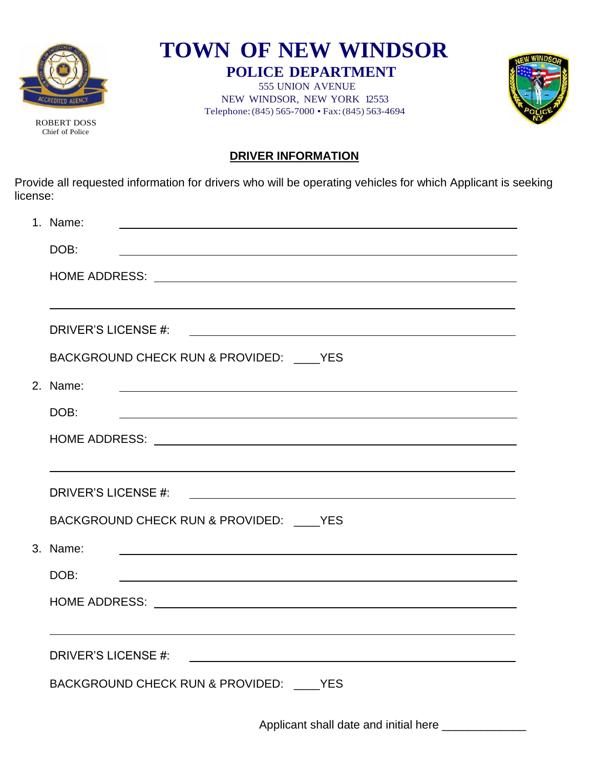

ROBERT DOSS Chief of Police

**TOWN OF NEW WINDSOR POLICE DEPARTMENT**

555 UNION AVENUE NEW WINDSOR, NEW YORK 12553 Telephone:(845) 565-7000 • Fax:(845) 563-4694



**DRIVER INFORMATION**

Provide all requested information for drivers who will be operating vehicles for which Applicant is seeking license:

| 1. Name:                                                                                                                           |  |  |  |  |
|------------------------------------------------------------------------------------------------------------------------------------|--|--|--|--|
| DOB:                                                                                                                               |  |  |  |  |
|                                                                                                                                    |  |  |  |  |
|                                                                                                                                    |  |  |  |  |
| DRIVER'S LICENSE #:<br><u> 1989 - Johann Stein, markin sanat markin samanin samanin samanin samanin samanin samanin samanin sa</u> |  |  |  |  |
| BACKGROUND CHECK RUN & PROVIDED: ____ YES                                                                                          |  |  |  |  |
| 2. Name:                                                                                                                           |  |  |  |  |
| DOB:                                                                                                                               |  |  |  |  |
|                                                                                                                                    |  |  |  |  |
|                                                                                                                                    |  |  |  |  |
|                                                                                                                                    |  |  |  |  |
| BACKGROUND CHECK RUN & PROVIDED: ____ YES                                                                                          |  |  |  |  |
| 3. Name:                                                                                                                           |  |  |  |  |
| DOB:                                                                                                                               |  |  |  |  |
|                                                                                                                                    |  |  |  |  |
|                                                                                                                                    |  |  |  |  |
|                                                                                                                                    |  |  |  |  |
| BACKGROUND CHECK RUN & PROVIDED: ____ YES                                                                                          |  |  |  |  |
|                                                                                                                                    |  |  |  |  |

Applicant shall date and initial here \_\_\_\_\_\_\_\_\_\_\_\_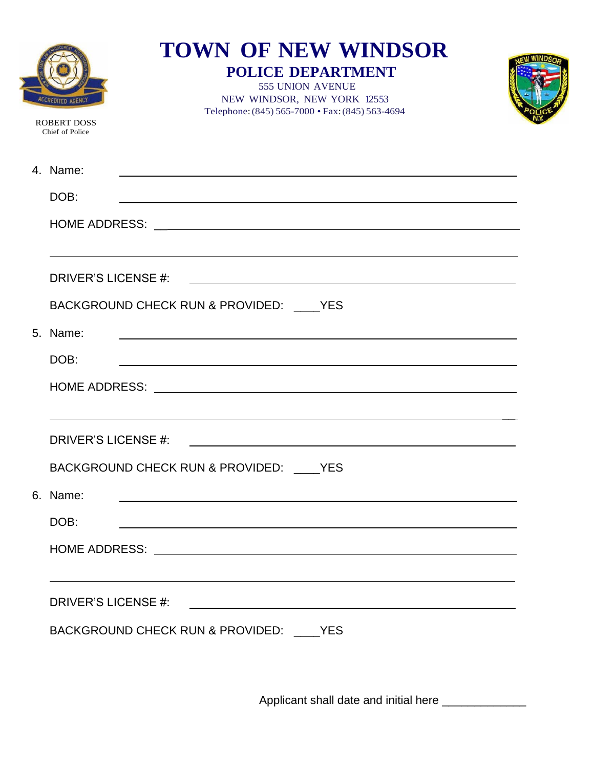| <b>ROBERT DOSS</b><br>Chief of Police | <b>TOWN OF NEW WINDSOR</b><br><b>POLICE DEPARTMENT</b><br>555 UNION AVENUE<br>NEW WINDSOR, NEW YORK 12553<br>Telephone: (845) 565-7000 · Fax: (845) 563-4694 |  |
|---------------------------------------|--------------------------------------------------------------------------------------------------------------------------------------------------------------|--|
| 4. Name:                              | <u> 1989 - John Stein, september 1989 - John Stein, september 1989 - John Stein, september 1989 - John Stein, se</u>                                         |  |
| DOB:                                  | <u> 1980 - Andrea Station Barbara, actor a component de la componentación de la componentación de la componentaci</u>                                        |  |
|                                       |                                                                                                                                                              |  |
|                                       |                                                                                                                                                              |  |
| DRIVER'S LICENSE #:                   | <u> 1980 - Johann Barn, mars and de Branch Barn, mars and de Branch Barn, mars and de Branch Barn, mars and de Br</u>                                        |  |
|                                       | BACKGROUND CHECK RUN & PROVIDED: YES                                                                                                                         |  |
| 5. Name:                              | <u> 1988 - Johann Barbara, martxa alemaniar amerikan basar da a shekara a shekara a shekara a shekara a shekara</u>                                          |  |
| DOB:                                  | <u> 1989 - Johann John Stoff, deutscher Stoffen und der Stoffen und der Stoffen und der Stoffen und der Stoffen</u>                                          |  |
|                                       |                                                                                                                                                              |  |
|                                       |                                                                                                                                                              |  |
| <b>DRIVER'S LICENSE #:</b>            | <u> 1980 - Andrea Andrew Maria (h. 1980).</u>                                                                                                                |  |
|                                       | BACKGROUND CHECK RUN & PROVIDED: YES                                                                                                                         |  |
| 6. Name:                              | and the control of the control of the control of the control of the control of the control of the control of the                                             |  |
| DOB:                                  | <u> 1989 - Johann Stoff, amerikansk politiker (* 1908)</u>                                                                                                   |  |
|                                       |                                                                                                                                                              |  |
|                                       |                                                                                                                                                              |  |
| DRIVER'S LICENSE #:                   |                                                                                                                                                              |  |
|                                       | BACKGROUND CHECK RUN & PROVIDED: YES                                                                                                                         |  |
|                                       |                                                                                                                                                              |  |

Applicant shall date and initial here \_\_\_\_\_\_\_\_\_\_\_\_\_\_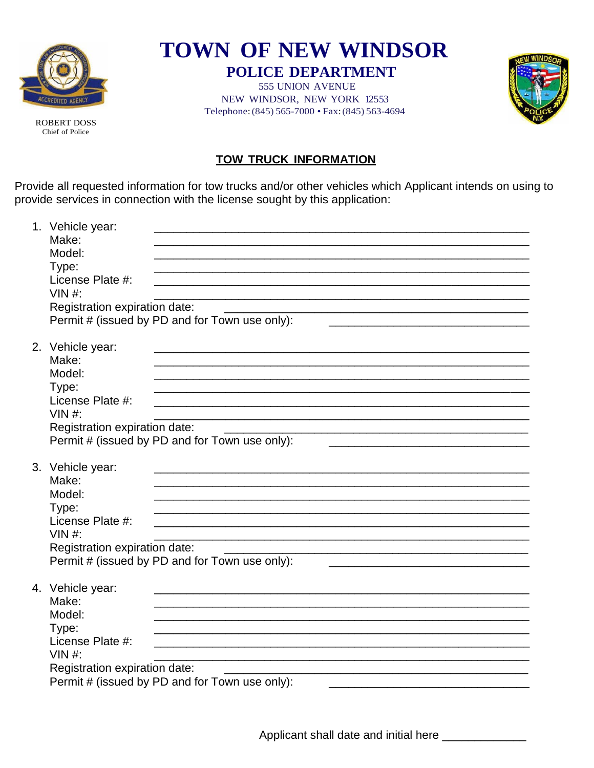

**ROBERT DOSS** 

**TOWN OF NEW WINDSOR POLICE DEPARTMENT** 

**555 UNION AVENUE** NEW WINDSOR, NEW YORK 12553 Telephone: (845) 565-7000 • Fax: (845) 563-4694



Chief of Police

### **TOW TRUCK INFORMATION**

Provide all requested information for tow trucks and/or other vehicles which Applicant intends on using to provide services in connection with the license sought by this application:

| 1. Vehicle year:<br>Make:<br>Model:<br>Type:<br>License Plate #:<br>$VIN#$ :<br>Registration expiration date:<br><u> 1980 - Johann John Stone, mars et al. (b. 1980)</u><br>Permit # (issued by PD and for Town use only): |
|----------------------------------------------------------------------------------------------------------------------------------------------------------------------------------------------------------------------------|
| 2. Vehicle year:<br>Make:<br>Model:<br>Type:<br>License Plate #:<br>$VIN$ #:<br>Registration expiration date:<br>Permit # (issued by PD and for Town use only):                                                            |
| 3. Vehicle year:<br>Make:<br>Model:<br>Type:<br>License Plate #:<br>$VIN$ #:<br>Registration expiration date:<br>Permit # (issued by PD and for Town use only):                                                            |
| 4. Vehicle year:<br>Make:<br>Model:<br>Type:<br>License Plate #:<br>$VIN#$ :<br>Registration expiration date:<br>Permit # (issued by PD and for Town use only):                                                            |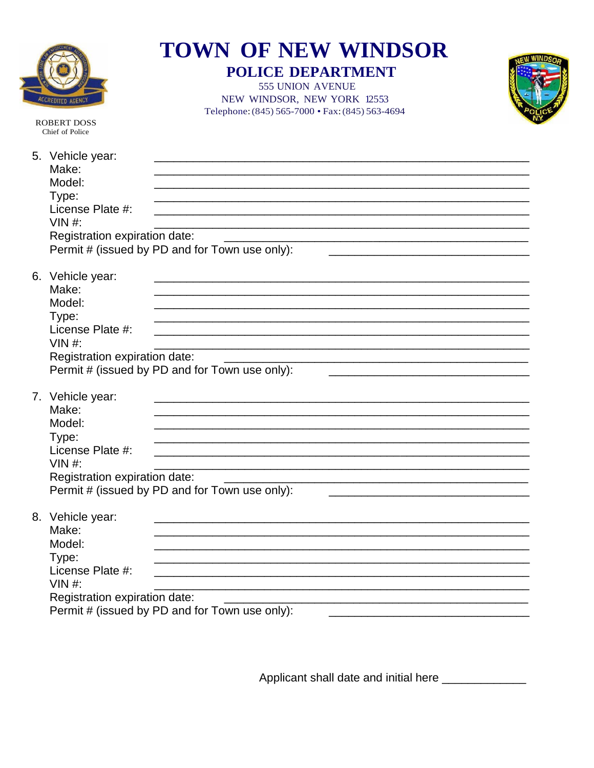|                                                                                                                    | <b>TOWN OF NEW WINDSOR</b><br><b>POLICE DEPARTMENT</b><br>555 UNION AVENUE<br>NEW WINDSOR, NEW YORK 12553<br>Telephone: (845) 565-7000 · Fax: (845) 563-4694 |  |
|--------------------------------------------------------------------------------------------------------------------|--------------------------------------------------------------------------------------------------------------------------------------------------------------|--|
| <b>ROBERT DOSS</b><br>Chief of Police                                                                              |                                                                                                                                                              |  |
| 5. Vehicle year:<br>Make:<br>Model:<br>Type:<br>License Plate #:<br>$VIN#$ :<br>Registration expiration date:      | Permit # (issued by PD and for Town use only):                                                                                                               |  |
| 6. Vehicle year:<br>Make:<br>Model:<br>Type:<br>License Plate #:<br>$VIN#$ :<br>Registration expiration date:      | Permit # (issued by PD and for Town use only):                                                                                                               |  |
| 7. Vehicle year:<br>Make:<br>Model:<br>Type:<br>License Plate #:<br>VIN # $\cdot$<br>Registration expiration date: | Permit # (issued by PD and for Town use only):                                                                                                               |  |
| 8. Vehicle year:<br>Make:<br>Model:<br>Type:<br>License Plate #:<br>$VIN$ #:<br>Registration expiration date:      | <u> 1989 - Johann Stoff, amerikansk politiker (d. 1989)</u><br>Permit # (issued by PD and for Town use only):                                                |  |

Applicant shall date and initial here \_\_\_\_\_\_\_\_\_\_\_\_\_\_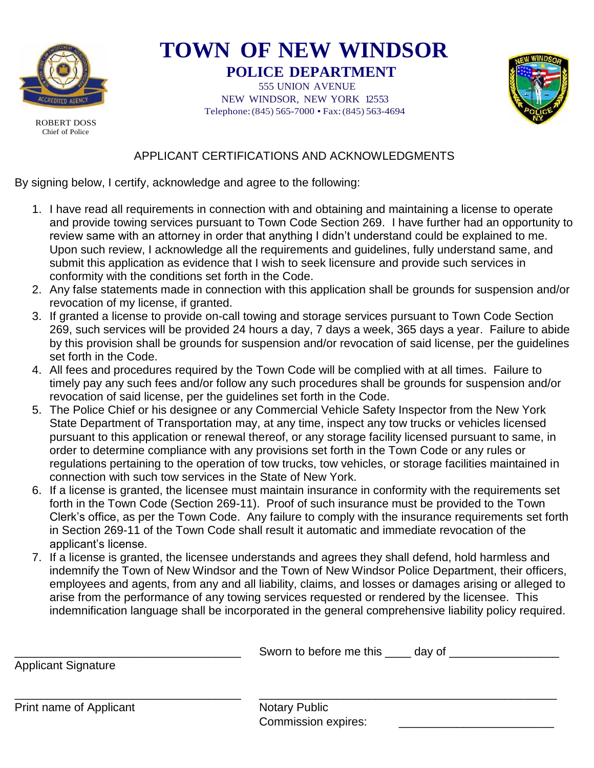

# **TOWN OF NEW WINDSOR**

**POLICE DEPARTMENT** 555 UNION AVENUE NEW WINDSOR, NEW YORK 12553 Telephone:(845) 565-7000 • Fax:(845) 563-4694



ROBERT DOSS Chief of Police

### APPLICANT CERTIFICATIONS AND ACKNOWLEDGMENTS

By signing below, I certify, acknowledge and agree to the following:

- 1. I have read all requirements in connection with and obtaining and maintaining a license to operate and provide towing services pursuant to Town Code Section 269. I have further had an opportunity to review same with an attorney in order that anything I didn't understand could be explained to me. Upon such review, I acknowledge all the requirements and guidelines, fully understand same, and submit this application as evidence that I wish to seek licensure and provide such services in conformity with the conditions set forth in the Code.
- 2. Any false statements made in connection with this application shall be grounds for suspension and/or revocation of my license, if granted.
- 3. If granted a license to provide on-call towing and storage services pursuant to Town Code Section 269, such services will be provided 24 hours a day, 7 days a week, 365 days a year. Failure to abide by this provision shall be grounds for suspension and/or revocation of said license, per the guidelines set forth in the Code.
- 4. All fees and procedures required by the Town Code will be complied with at all times. Failure to timely pay any such fees and/or follow any such procedures shall be grounds for suspension and/or revocation of said license, per the guidelines set forth in the Code.
- 5. The Police Chief or his designee or any Commercial Vehicle Safety Inspector from the New York State Department of Transportation may, at any time, inspect any tow trucks or vehicles licensed pursuant to this application or renewal thereof, or any storage facility licensed pursuant to same, in order to determine compliance with any provisions set forth in the Town Code or any rules or regulations pertaining to the operation of tow trucks, tow vehicles, or storage facilities maintained in connection with such tow services in the State of New York.
- 6. If a license is granted, the licensee must maintain insurance in conformity with the requirements set forth in the Town Code (Section 269-11). Proof of such insurance must be provided to the Town Clerk's office, as per the Town Code. Any failure to comply with the insurance requirements set forth in Section 269-11 of the Town Code shall result it automatic and immediate revocation of the applicant's license.
- 7. If a license is granted, the licensee understands and agrees they shall defend, hold harmless and indemnify the Town of New Windsor and the Town of New Windsor Police Department, their officers, employees and agents, from any and all liability, claims, and losses or damages arising or alleged to arise from the performance of any towing services requested or rendered by the licensee. This indemnification language shall be incorporated in the general comprehensive liability policy required.

|                         | Sworn to before me this same day of |  |
|-------------------------|-------------------------------------|--|
| Applicant Signature     |                                     |  |
|                         |                                     |  |
| Print name of Applicant | <b>Notary Public</b>                |  |
|                         | <b>Commission expires:</b>          |  |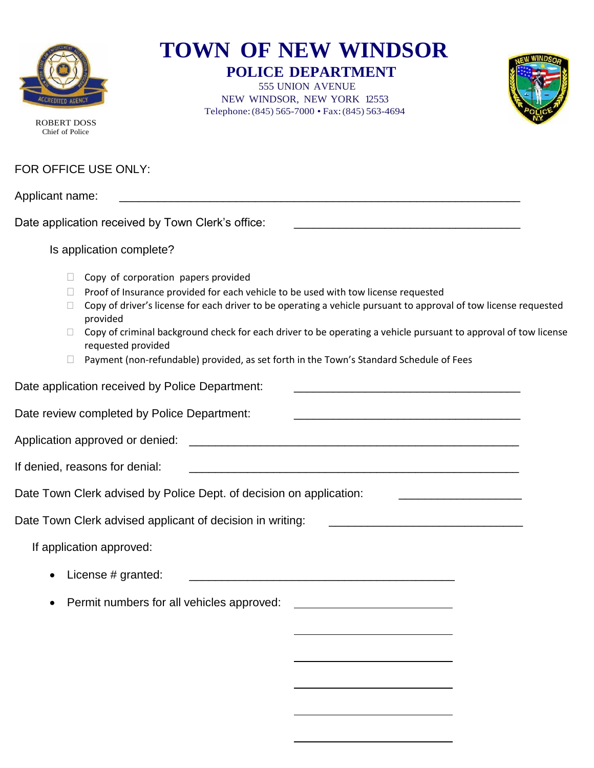

# **TOWN OF NEW WINDSOR**

**POLICE DEPARTMENT** 555 UNION AVENUE NEW WINDSOR, NEW YORK 12553 Telephone:(845) 565-7000 • Fax:(845) 563-4694



ROBERT DOSS Chief of Police

### FOR OFFICE USE ONLY:

Applicant name:

Date application received by Town Clerk's office:

#### Is application complete?

- $\Box$  Copy of corporation papers provided
- $\Box$  Proof of Insurance provided for each vehicle to be used with tow license requested
- $\Box$  Copy of driver's license for each driver to be operating a vehicle pursuant to approval of tow license requested provided
- $\Box$  Copy of criminal background check for each driver to be operating a vehicle pursuant to approval of tow license requested provided
- $\Box$  Payment (non-refundable) provided, as set forth in the Town's Standard Schedule of Fees

Date application received by Police Department: Date review completed by Police Department: Application approved or denied: \_\_\_\_\_\_\_\_\_\_\_\_\_\_\_\_\_\_\_\_\_\_\_\_\_\_\_\_\_\_\_\_\_\_\_\_\_\_\_\_\_\_\_\_\_\_\_\_\_\_\_ If denied, reasons for denial: \_\_\_\_\_\_\_\_\_\_\_\_\_\_\_\_\_\_\_\_\_\_\_\_\_\_\_\_\_\_\_\_\_\_\_\_\_\_\_\_\_\_\_\_\_\_\_\_\_\_\_ Date Town Clerk advised by Police Dept. of decision on application: Date Town Clerk advised applicant of decision in writing: \_\_\_\_\_\_\_\_\_\_\_\_\_\_\_\_\_\_\_\_\_\_ If application approved: • License # granted: \_\_\_\_\_\_\_\_\_\_\_\_\_\_\_\_\_\_\_\_\_\_\_\_\_\_\_\_\_\_\_\_\_\_\_\_\_\_\_\_\_ • Permit numbers for all vehicles approved:

 $\overline{a}$ 

 $\overline{a}$ 

 $\overline{a}$ 

 $\overline{a}$ 

 $\overline{a}$